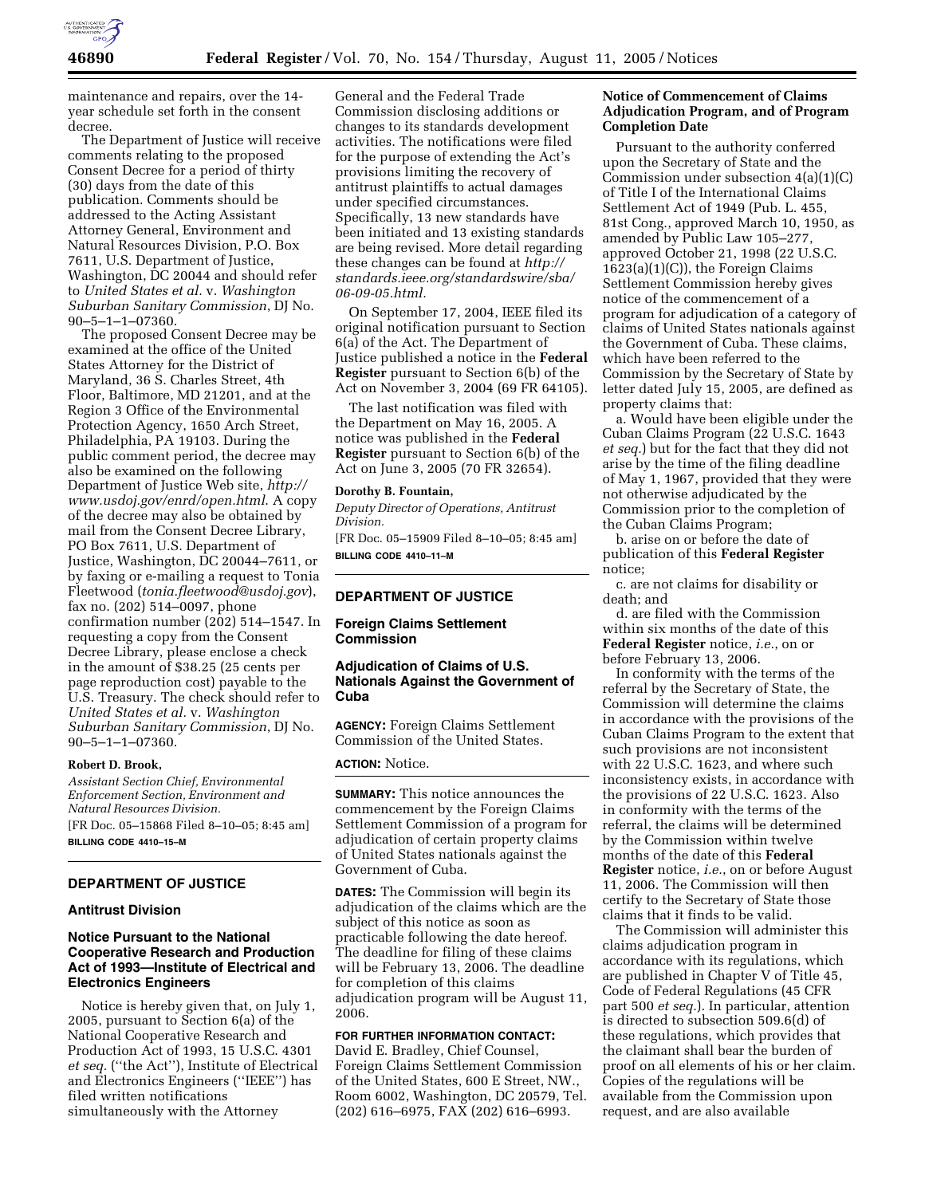

maintenance and repairs, over the 14 year schedule set forth in the consent decree.

The Department of Justice will receive comments relating to the proposed Consent Decree for a period of thirty (30) days from the date of this publication. Comments should be addressed to the Acting Assistant Attorney General, Environment and Natural Resources Division, P.O. Box 7611, U.S. Department of Justice, Washington, DC 20044 and should refer to *United States et al.* v. *Washington Suburban Sanitary Commission*, DJ No. 90–5–1–1–07360.

The proposed Consent Decree may be examined at the office of the United States Attorney for the District of Maryland, 36 S. Charles Street, 4th Floor, Baltimore, MD 21201, and at the Region 3 Office of the Environmental Protection Agency, 1650 Arch Street, Philadelphia, PA 19103. During the public comment period, the decree may also be examined on the following Department of Justice Web site, *http:// www.usdoj.gov/enrd/open.html*. A copy of the decree may also be obtained by mail from the Consent Decree Library, PO Box 7611, U.S. Department of Justice, Washington, DC 20044–7611, or by faxing or e-mailing a request to Tonia Fleetwood (*tonia.fleetwood@usdoj.gov*), fax no. (202) 514–0097, phone confirmation number (202) 514–1547. In requesting a copy from the Consent Decree Library, please enclose a check in the amount of \$38.25 (25 cents per page reproduction cost) payable to the U.S. Treasury. The check should refer to *United States et al.* v. *Washington Suburban Sanitary Commission*, DJ No. 90–5–1–1–07360.

#### **Robert D. Brook,**

*Assistant Section Chief, Environmental Enforcement Section, Environment and Natural Resources Division.* [FR Doc. 05–15868 Filed 8–10–05; 8:45 am]

**BILLING CODE 4410–15–M**

# **DEPARTMENT OF JUSTICE**

### **Antitrust Division**

## **Notice Pursuant to the National Cooperative Research and Production Act of 1993—Institute of Electrical and Electronics Engineers**

Notice is hereby given that, on July 1, 2005, pursuant to Section 6(a) of the National Cooperative Research and Production Act of 1993, 15 U.S.C. 4301 *et seq.* (''the Act''), Institute of Electrical and Electronics Engineers (''IEEE'') has filed written notifications simultaneously with the Attorney

General and the Federal Trade Commission disclosing additions or changes to its standards development activities. The notifications were filed for the purpose of extending the Act's provisions limiting the recovery of antitrust plaintiffs to actual damages under specified circumstances. Specifically, 13 new standards have been initiated and 13 existing standards are being revised. More detail regarding these changes can be found at *http:// standards.ieee.org/standardswire/sba/ 06-09-05.html.*

On September 17, 2004, IEEE filed its original notification pursuant to Section 6(a) of the Act. The Department of Justice published a notice in the **Federal Register** pursuant to Section 6(b) of the Act on November 3, 2004 (69 FR 64105).

The last notification was filed with the Department on May 16, 2005. A notice was published in the **Federal Register** pursuant to Section 6(b) of the Act on June 3, 2005 (70 FR 32654).

#### **Dorothy B. Fountain,**

*Deputy Director of Operations, Antitrust Division.*

[FR Doc. 05–15909 Filed 8–10–05; 8:45 am] **BILLING CODE 4410–11–M**

#### **DEPARTMENT OF JUSTICE**

## **Foreign Claims Settlement Commission**

### **Adjudication of Claims of U.S. Nationals Against the Government of Cuba**

**AGENCY:** Foreign Claims Settlement Commission of the United States.

**ACTION:** Notice.

**SUMMARY:** This notice announces the commencement by the Foreign Claims Settlement Commission of a program for adjudication of certain property claims of United States nationals against the Government of Cuba.

**DATES:** The Commission will begin its adjudication of the claims which are the subject of this notice as soon as practicable following the date hereof. The deadline for filing of these claims will be February 13, 2006. The deadline for completion of this claims adjudication program will be August 11, 2006.

# **FOR FURTHER INFORMATION CONTACT:**

David E. Bradley, Chief Counsel, Foreign Claims Settlement Commission of the United States, 600 E Street, NW., Room 6002, Washington, DC 20579, Tel. (202) 616–6975, FAX (202) 616–6993.

## **Notice of Commencement of Claims Adjudication Program, and of Program Completion Date**

Pursuant to the authority conferred upon the Secretary of State and the Commission under subsection 4(a)(1)(C) of Title I of the International Claims Settlement Act of 1949 (Pub. L. 455, 81st Cong., approved March 10, 1950, as amended by Public Law 105–277, approved October 21, 1998 (22 U.S.C. 1623(a)(1)(C)), the Foreign Claims Settlement Commission hereby gives notice of the commencement of a program for adjudication of a category of claims of United States nationals against the Government of Cuba. These claims, which have been referred to the Commission by the Secretary of State by letter dated July 15, 2005, are defined as property claims that:

a. Would have been eligible under the Cuban Claims Program (22 U.S.C. 1643 *et seq.*) but for the fact that they did not arise by the time of the filing deadline of May 1, 1967, provided that they were not otherwise adjudicated by the Commission prior to the completion of the Cuban Claims Program;

b. arise on or before the date of publication of this **Federal Register** notice;

c. are not claims for disability or death; and

d. are filed with the Commission within six months of the date of this **Federal Register** notice, *i.e.*, on or before February 13, 2006.

In conformity with the terms of the referral by the Secretary of State, the Commission will determine the claims in accordance with the provisions of the Cuban Claims Program to the extent that such provisions are not inconsistent with 22 U.S.C. 1623, and where such inconsistency exists, in accordance with the provisions of 22 U.S.C. 1623. Also in conformity with the terms of the referral, the claims will be determined by the Commission within twelve months of the date of this **Federal Register** notice, *i.e.*, on or before August 11, 2006. The Commission will then certify to the Secretary of State those claims that it finds to be valid.

The Commission will administer this claims adjudication program in accordance with its regulations, which are published in Chapter V of Title 45, Code of Federal Regulations (45 CFR part 500 *et seq.*). In particular, attention is directed to subsection 509.6(d) of these regulations, which provides that the claimant shall bear the burden of proof on all elements of his or her claim. Copies of the regulations will be available from the Commission upon request, and are also available